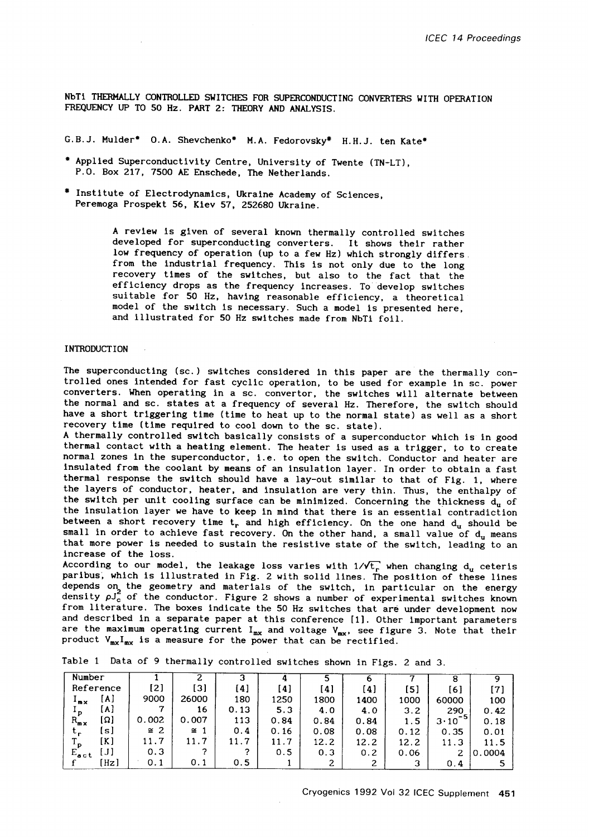NbTI THERMALLY CONTROLLED SWITCHES FOR SUPERCONDUCTING CONVERTERS WITH OPERATION FREQUENCY UP TO 50 **Hz. PART 2:** THEORY AND ANALYSIS.

G.B.J. Mulder\* O.A. Shevchenko\* M.A. Fedorovsky\* H.H.J. ten Kate\*

- " Applied Superconductivity Centre, University of Twente (TN-LT), P.O. Box 217, 7500 AE Enschede, The Netherlands.
- # Institute of Electrodynamlcs, Ukraine Academy of Sciences, Peremoga Prospekt 56, Kiev 57, 252680 Ukraine.

A review is given of several known thermally controlled switches developed for superconducting converters. It shows their rather low frequency of operation (up to a few Hz) which strongly differs from the industrial frequency. This is not only due to the long recovery times of the switches, but also to the fact that the efficiency drops as the frequency increases. To develop switches suitable for 50 Hz, having reasonable efficiency, a theoretical model of the switch is necessary. Such a model is presented here, and illustrated for 50 Hz switches made from NbTi foil.

## INTRODUCTION

The superconducting (sc.) switches considered in this paper are the thermally controlled ones intended for fast cyclic operation, to be used for example in sc. power converters. When operating in a sc. convertor, the switches will alternate between the normal and sc. states at a frequency of several Hz. Therefore, the switch should have a short triggering time (time to heat up to the normal state) as well as a short recovery time (time required to cool down to the sc. state).

A thermally controlled switch basically consists of a superconductor which is in good thermal contact with a heating element. The heater is used as a trigger, to to create normal zones in the superconductor, i.e. to open the switch. Conductor and heater are insulated from the coolant by means of an insulation layer. In order to obtain a fast thermal response the switch should have a lay-out similar to that of Fig. I, where the layers of conductor, heater, and insulation are very thin. Thus, the enthalpy of the switch per unit cooling surface can be minimized. Concerning the thickness  $d_u$  of the insulation layer we have to keep in mind that there is an essential contradiction between a short recovery time  $t_r$  and high efficiency. On the one hand  $d_u$  should be small in order to achieve fast recovery. On the other hand, a small value of  $d_u$  means that more power is needed to sustain the resistive state of the switch, leading to an increase of the loss.

According to our model, the leakage loss varies with  $1/\sqrt{t_r}$  when changing  $d_u$  ceteris paribus, which is illustrated in Fig. 2 with solid lines. The position of these lines depends on the geometry and materials of the switch, in particular on the energy density  $\rho$ J<sub>c</sub> of the conductor. Figure 2 shows a number of experimental switches known from literature. The boxes indicate the 50 Hz switches that are under development now and described in a separate paper at this conference [I]. Other important parameters and described in a separator  $F_{mx}$ . It will denote  $V_{mx}$ , see figure 3. Note that their product  $V_{mx}I_{mx}$  is a measure for the power that can be rectified.

| Number                 |           |           |      |      |      | o    |      | ο                    |        |
|------------------------|-----------|-----------|------|------|------|------|------|----------------------|--------|
| Reference              | [2]       | [3]       | [4]  | [4]  | [4]  | [4]  | [5]  | [6]                  | [7]    |
| [A]<br>*m×             | 9000      | 26000     | 180  | 1250 | 1800 | 1400 | 1000 | 60000                | 100    |
| [A]<br>$^{\bullet}$ D  |           | 16        | 0.13 | 5.3  | 4.0  | 4.0  | 3.2  | 290                  | 0.42   |
| [Ω]<br>$R_{\text{mx}}$ | 0.002     | 0.007     | 113  | 0.84 | 0.84 | 0.84 |      | - 51<br>$3 \cdot 10$ | 0.18   |
| [s]<br>τ.              | $\cong$ 2 | $\cong$ 1 | 0.4  | 0.16 | 0.08 | 0.08 | 0.12 | 0.35                 | 0.01   |
| [K]                    | 11.7      | 11.7      | 11.7 | 11.7 | 12.2 | 12.2 | 12.2 | 11.3                 | 11.5   |
| $E_{\text{act}}$       | 0.3       |           | ◠    | 0.5  | 0.3  | 0.2  | 0.06 |                      | 0.0004 |
| 'Hz]                   | 0.1       | 0.1       | 0.5  |      | 2    |      |      | 0.4                  |        |

Table i Data of 9 thermally controlled switches shown in Figs. 2 and 3.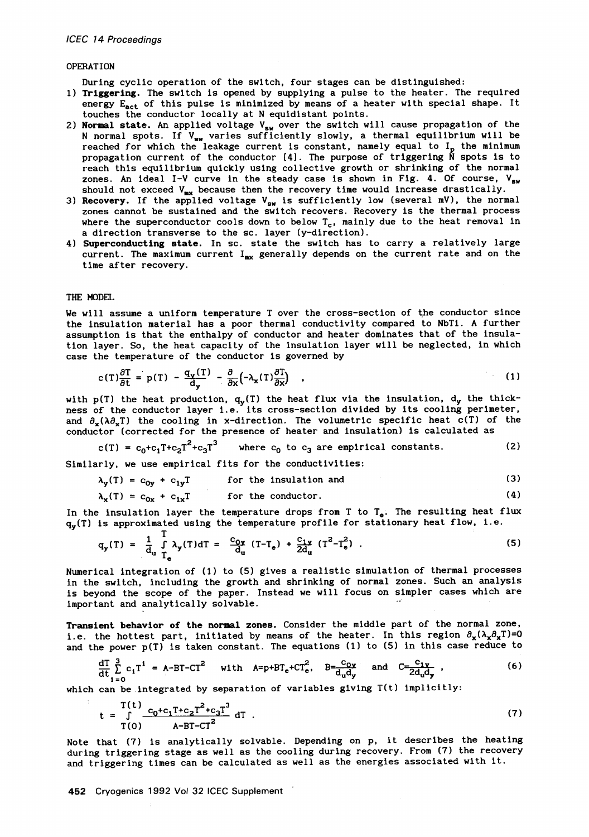### OPERATION

During cyclic operation of the switch, four stages can be distinguished:

- I) Triggering. The switch is opened by supplying a pulse to the heater. The required energy  $E_{act}$  of this pulse is minimized by means of a heater with special shape. It touches the conductor locally at N equidistant points.
- 2) Normal state. An applied voltage  $V_{\rm gw}$  over the switch will cause propagation of the N normal spots. If  $V_{\text{sw}}$  varies sufficiently slowly, a thermal equilibrium will be reached for which the leakage current is constant, namely equal to  $I_p$  the minimum propagation current of the conductor  $[4]$ . The purpose of triggering  $\tilde{N}$  spots is to reach this equilibrium quickly using collective growth or shrinking of the normal zones. An ideal I-V curve in the steady case is shown in Fig. 4. Of course,  $V_{sw}$ <br>should not executed V, hecause that the receivers time sould increase dragtically should not exceed  $V_{mx}$  because then the recovery time would increase drastically.
- 3) **Recovery.** If the applied voltage  $V_{sw}$  is sufficiently low (several mV), the normal zones cannot be sustained and the switch recovers. Recovery is the thermal process where the superconductor cools down to below  $T_c$ , mainly due to the heat removal in a direction transverse to the sc. layer (y-direction).
- 4) Superconducting state. In sc. state the switch has to carry a relatively large current. The maximum current  $I_{mx}$  generally depends on the current rate and on the time after recovery.

# THE MODEL

We will assume a uniform temperature T over the cross-sectlon of the conductor since the insulation material has a poor thermal conductivity compared to NbTi. A further assumption is that the enthalpy of conductor and heater dominates that of the insulation layer. So, the heat capacity of the insulation layer will be neglected, in which case the temperature of the conductor is governed by

$$
c(T)\frac{\partial T}{\partial t} = p(T) - \frac{q_v(T)}{d_v} - \frac{\partial}{\partial x}(-\lambda_x(T)\frac{\partial T}{\partial x}) \quad , \tag{1}
$$

with  $p(T)$  the heat production,  $q_y(T)$  the heat flux via the insulation,  $d_y$  the thickness of the conductor layer i.e. its cross-section divided by its cooling perimeter, and  $\partial_{\bf{v}}(\lambda \partial_{\bf{v}} T)$  the cooling in x-direction. The volumetric specific heat c(T) of the conductor (corrected for the presence of heater and insulation) is calculated as

$$
c(T) = c_0 + c_1 T + c_2 T^2 + c_3 T^3
$$
 where  $c_0$  to  $c_3$  are empirical constants. (2)

Similarly, we use empirical fits for the conductivities:

$$
\lambda_{y}(T) = c_{0y} + c_{1y}T \qquad \text{for the insulation and} \tag{3}
$$

$$
\lambda_{\mathbf{x}}(\mathbf{T}) = \mathbf{c}_{0\mathbf{x}} + \mathbf{c}_{1\mathbf{x}}\mathbf{T} \qquad \text{for the conductor.} \tag{4}
$$

In the insulation layer the temperature drops from T to  $T_e$ . The resulting heat flux  $q_v(T)$  is approximated using the temperature profile for stationary heat flow, i.e.

$$
q_{\mathbf{y}}(T) = \frac{1}{d_{\mathbf{u}}} \int_{T_{\mathbf{e}}} \lambda_{\mathbf{y}}(T) dT = \frac{c_{0\mathbf{y}}}{d_{\mathbf{u}}} (T - T_{\mathbf{e}}) + \frac{c_{1\mathbf{y}}}{2d_{\mathbf{u}}} (T^{2} - T_{\mathbf{e}}^{2}). \qquad (5)
$$

Numerical integration of (1) to (5) gives a realistic simulation of thermal processes in the switch, including the growth and shrinking of normal zones. Such an analysis is beyond the scope of the paper. Instead we will focus on simpler cases which are important and analytically solvable.

Transient **behavior of the normal zones.** Consider the middle part of the normal zone, i.e. the hottest part, initiated by means of the heater. In this region  $\partial_x(\lambda_x\partial_xT)=0$ and the power p(T) is taken constant. The equations (I) to (5) in this case reduce to

$$
\frac{d\Gamma}{dt}\sum_{i=0}^{3}c_{i}T^{i} = A-BT-CT^{2} \text{ with } A=p+BT_{e}+CT_{e}^{2}, B=\frac{c_{0}y}{d_{u}d_{y}} \text{ and } C=\frac{c_{1}y}{2d_{u}d_{y}},
$$
\n(6)

which can be integrated by separation of variables giving T(t) implicitly:

$$
t = \int_{T(0)}^{T(t)} \frac{c_0 + c_1 T + c_2 T^2 + c_3 T^3}{A - BT - CT^2} dT
$$
 (7)

Note that (7) is analytically solvable. Depending on p, it describes the heating during triggering stage as weli as the cooling during recovery. From (7) the recovery and triggering times can be caiculated as weil as the energies associated with it.

452 Cryogenics 1992 Vol 32 ICEC Supplement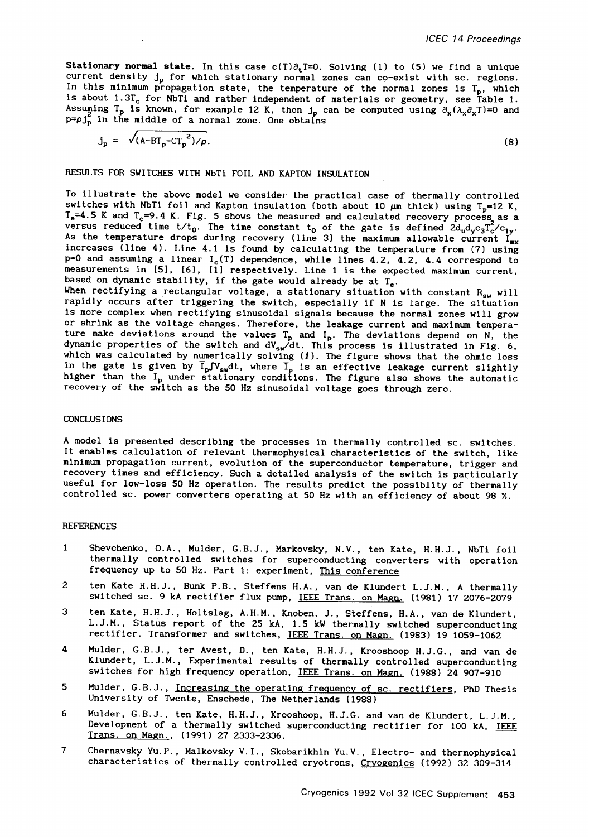**Stationary normal state.** In this case  $c(T)\partial_t T=0$ . Solving (1) to (5) we find a unique current density  $j_p$  for which stationary normal zones can co-exist with sc. regions. In this minimum propagation state, the temperature of the normal zones is  $T_p$ , which is about 1.31<sub>c</sub> for NbTi and rather independent of materials or geometry, see Table 1. Assuming T<sub>p</sub> is known, for example 12 K, then  $j_p$  can be computed using  $\partial_x(\lambda_x\partial_xT)=0$  and  $p=pj_p^2$  in the middle of a normal zone. One obtains

$$
j_p = \sqrt{(A - BT_p - CT_p^2)} / \rho. \tag{8}
$$

RESULTS FOR SWITCHES WITH NbTi FOIL AND KAPTON INSULATION

To illustrate the above model we consider the practical case of thermally controlled switches with NbTi foil and Kapton insulation (both about 10  $\mu$ m thick) using T<sub>p</sub>=12 K,  $T_e$ =4.5 K and  $T_c$ =9.4 K. Fig. 5 shows the measured and calculated recovery process as a<br>versus reduced time t/t<sub>0</sub>. The time constant t<sub>0</sub> of the gate is defined 2d<sub>n</sub>d<sub>v</sub>c<sub>3</sub>T<sub>c</sub>/c<sub>1v</sub>. As the temperature drops during recovery (line 3) the maximum allowable current  ${\rm I_{\tt mv}}$ increases (line 4). Line 4.1 is found by calculating the temperature from (7) using  $p=0$  and assuming a linear  $I_c(T)$  dependence, while lines 4.2, 4.2, 4.4 correspond to measurements in [5], [6], [1] respectively. Line 1 is the expected maximum current, based on dynamic stability, if the gate would already be at  $T_e$ .

When rectifying a rectangular voltage, a stationary situation with constant  $R_{\text{ex}}$  will rapidly occurs after triggering the switch, especially if N is large. The situation is more complex when rectifying sinusoidal signals because the normal zones will grow or shrink as the voltage changes. Therefore, the leakage current and maximum temperature make deviations around the values T<sub>p</sub> and I<sub>p</sub>. The deviations depend on N, the dynamic properties of the switch and  $\rm{dV_{\rm{su}}}/\rm{d}t$ . This process is illustrated in Fig. 6, which was calculated by numerically solving  $(1)$ . The figure shows that the ohmic loss in the gate is given by I<sub>p</sub>JV<sub>sw</sub>dt, where I<sub>p</sub> is an effective leakage current slightly higher than the I<sub>p</sub> under stationary conditions. The figure also shows the automatic recovery of the switch as the 50 Hz sinusoidal voltage goes through zero.

### CONCLUSIONS

A model is presented describing the processes in thermally controlled sc. switches. It enables calculation of relevant thermophysical characteristics of the switch, like minimum propagation current, evolution of the superconductor temperature, trigger and recovery times and efficiency. Such a detailed analysis of the switch is particularly useful for low-loss 50 Hz operation. The results predict the possibiity of thermally controlled sc. power converters operating at 50 Hz with an efficiency of about 98 %.

#### REFERENCES

- 1 Shevchenko, O.A., Mulder, G.B.J., Markovsky, N.V., ten Kate, H.H.J., NbTi foil thermally controlled switches for superconducting converters with operation frequency up to 50 Hz. Part I: experiment, This conference
- ten Kate H.H.J., Bunk P.B., Steffens H.A., van de Klundert L.J.M., A thermally 2 switched sc. 9 kA rectifier flux pump, IEEE Trans. on Magn. (1981) 17 2076-2079
- 3 ten Kate, H.H.J., Holtslag, A.H.M., Knoben, J., Steffens, H.A., van de Klundert, L.J.M., Status report of the 25 kA, 1.5 kW thermally switched superconducting rectifier. Transformer and switches, IEEE Trans. on Magn. (1983) 19 1059-1062
- Mulder, G.B.J., ter Avest, D., ten Kate, H.H.J., Krooshoop H.J.G., and van de 4 Klundert, L.J.M., Experimental results of thermally controlled superconducting switches for high frequency operation, IEEE Trans. on Magn. (1988) 24 907-910
- 5 Mulder, G.B.J., Increasing the operating frequency of sc. rectifiers, PhD Thesis University of Twente, Enschede, The Netherlands (1988)
- 6 Mulder, G.B.J., ten Kate, H.H.J., Krooshoop, H.J.G. and van de Klundert, L.J.M., Development of a thermally switched superconducting rectifier for 100 kA, IEEE Trans. on Magn., (1991) 27 2333-2336.
- $\mathbf{7}$ Chernavsky Yu.P., Malkovsky V.I., Skobarikhin Yu.V., Electro- and thermophysical characteristics of thermally controlled cryotrons, Cryogenics (1992) 32 309-314